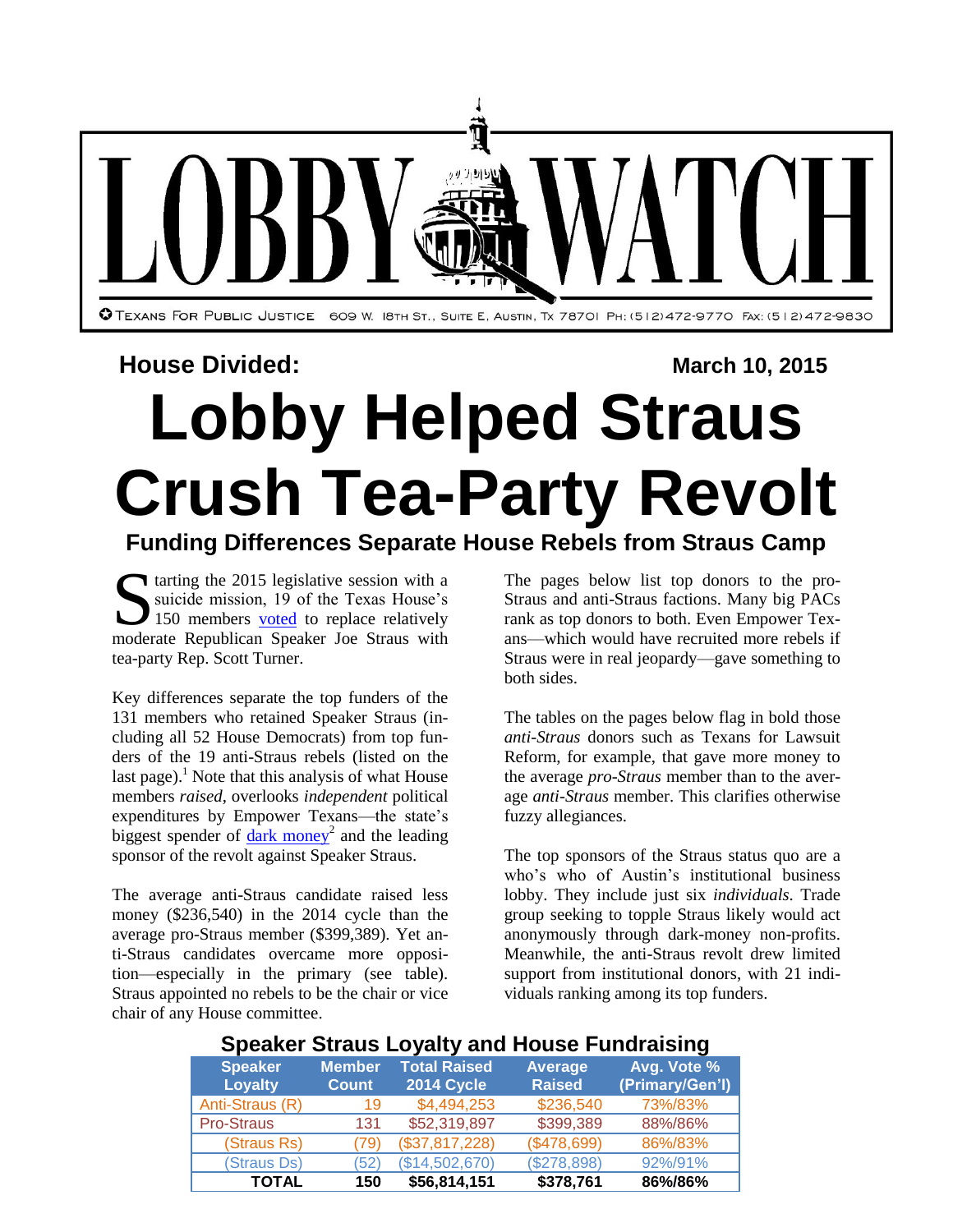

# **House Divided: March 10, 2015**

# **Lobby Helped Straus Crush Tea-Party Revolt**

## **Funding Differences Separate House Rebels from Straus Camp**

Starting the 2015 legislative session with a suicide mission, 19 of the Texas House's 150 members <u>voted</u> to replace relatively suicide mission, 19 of the Texas House's 150 members [voted](http://www.mystatesman.com/news/news/joe-straus-fends-off-first-challenge-to-house-spea/njnSL/#789400a1.3355575.735652) to replace relatively moderate Republican Speaker Joe Straus with tea-party Rep. Scott Turner.

Key differences separate the top funders of the 131 members who retained Speaker Straus (including all 52 House Democrats) from top funders of the 19 anti-Straus rebels (listed on the last page).<sup>1</sup> Note that this analysis of what House members *raised*, overlooks *independent* political expenditures by Empower Texans—the state's biggest spender of dark [money](http://info.tpj.org/Lobby_Watch/pdf/DarkMoneyExpends.pdf)<sup>2</sup> and the leading sponsor of the revolt against Speaker Straus.

The average anti-Straus candidate raised less money (\$236,540) in the 2014 cycle than the average pro-Straus member (\$399,389). Yet anti-Straus candidates overcame more opposition—especially in the primary (see table). Straus appointed no rebels to be the chair or vice chair of any House committee.

The pages below list top donors to the pro-Straus and anti-Straus factions. Many big PACs rank as top donors to both. Even Empower Texans—which would have recruited more rebels if Straus were in real jeopardy—gave something to both sides.

The tables on the pages below flag in bold those *anti-Straus* donors such as Texans for Lawsuit Reform, for example, that gave more money to the average *pro-Straus* member than to the average *anti-Straus* member. This clarifies otherwise fuzzy allegiances.

The top sponsors of the Straus status quo are a who's who of Austin's institutional business lobby. They include just six *individuals*. Trade group seeking to topple Straus likely would act anonymously through dark-money non-profits. Meanwhile, the anti-Straus revolt drew limited support from institutional donors, with 21 individuals ranking among its top funders.

## **Speaker Straus Loyalty and House Fundraising**

| <b>Speaker</b><br><b>Loyalty</b> | <b>Member</b><br><b>Count</b> | <b>Total Raised</b><br><b>2014 Cycle</b> | <b>Average</b><br><b>Raised</b> | Avg. Vote %<br>(Primary/Gen'l) |  |  |
|----------------------------------|-------------------------------|------------------------------------------|---------------------------------|--------------------------------|--|--|
| Anti-Straus (R)                  | 19                            | \$4,494,253                              | \$236,540                       | 73%/83%                        |  |  |
| Pro-Straus                       | 131                           | \$52,319,897                             | \$399,389                       | 88%/86%                        |  |  |
| (Straus Rs)                      | (79)                          | (\$37,817,228)                           | (\$478,699)                     | 86%/83%                        |  |  |
| (Straus Ds)                      | (52)                          | (\$14,502,670)                           | (\$278,898)                     | 92%/91%                        |  |  |
| <b>TOTAL</b>                     | 150                           | \$56,814,151                             | \$378,761                       | 86%/86%                        |  |  |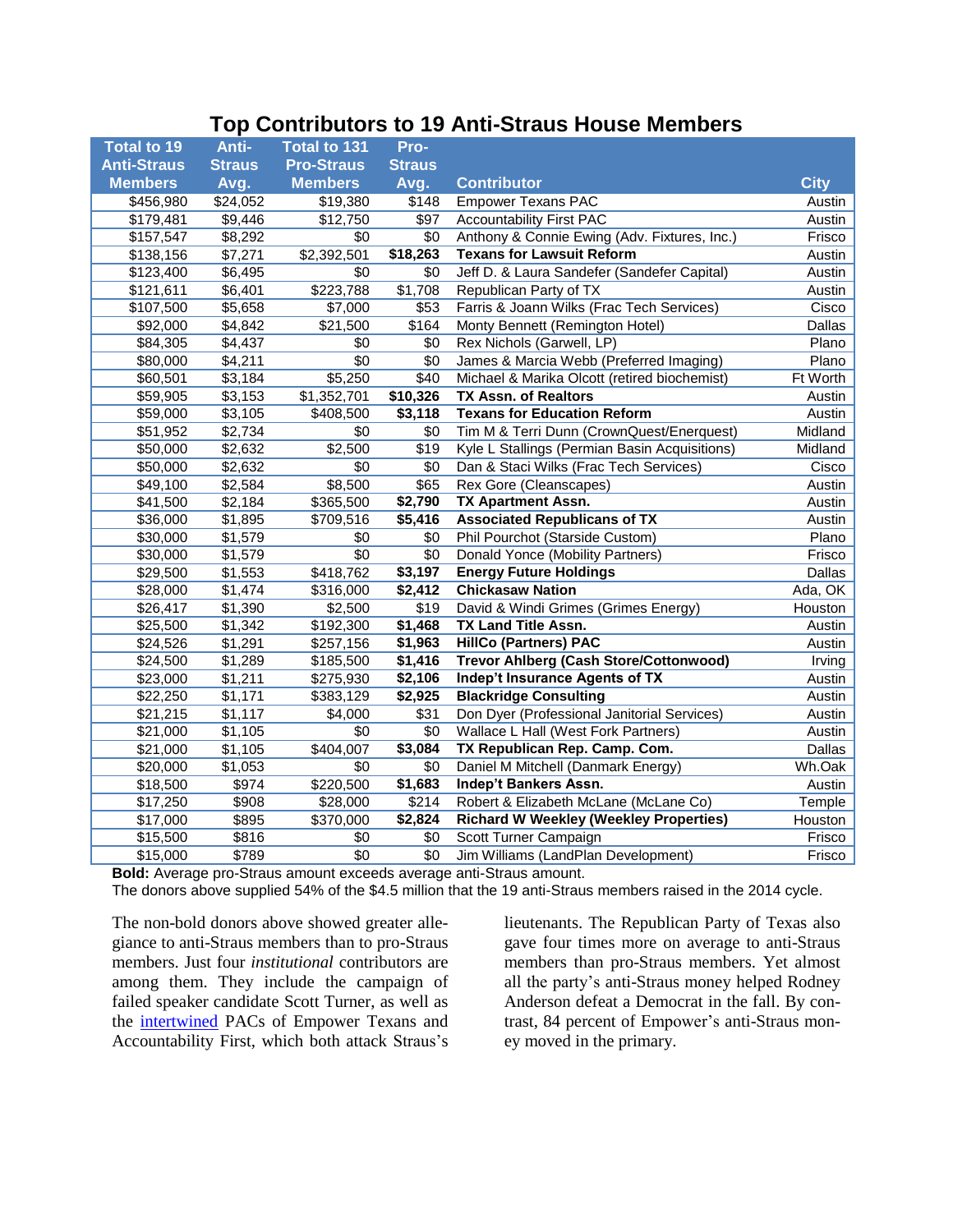#### **Top Contributors to 19 Anti-Straus House Members**

| <b>Total to 19</b>   | Anti-         | Total to 131      | Pro-            |                                               |               |
|----------------------|---------------|-------------------|-----------------|-----------------------------------------------|---------------|
| <b>Anti-Straus</b>   | <b>Straus</b> | <b>Pro-Straus</b> | <b>Straus</b>   |                                               |               |
| <b>Members</b>       | Avg.          | <b>Members</b>    | Avg.            | <b>Contributor</b>                            | <b>City</b>   |
| \$456,980            | \$24,052      | \$19,380          | \$148           | <b>Empower Texans PAC</b>                     | Austin        |
| \$179,481            | \$9,446       | \$12,750          | \$97            | <b>Accountability First PAC</b>               | Austin        |
| \$157,547            | \$8,292       | \$0               | \$0             | Anthony & Connie Ewing (Adv. Fixtures, Inc.)  | Frisco        |
| \$138,156            | \$7,271       | \$2,392,501       | \$18,263        | <b>Texans for Lawsuit Reform</b>              | Austin        |
| \$123,400            | \$6,495       | \$0               | \$0             | Jeff D. & Laura Sandefer (Sandefer Capital)   | Austin        |
| \$121,611            | \$6,401       | \$223,788         | \$1,708         | Republican Party of TX                        | Austin        |
| \$107,500            | \$5,658       | \$7,000           | \$53            | Farris & Joann Wilks (Frac Tech Services)     | Cisco         |
| \$92,000             | \$4,842       | \$21,500          | \$164           | Monty Bennett (Remington Hotel)               | Dallas        |
| \$84,305             | \$4,437       | \$0               | \$0             | Rex Nichols (Garwell, LP)                     | Plano         |
| \$80,000             | \$4,211       | $\overline{30}$   | $\overline{30}$ | James & Marcia Webb (Preferred Imaging)       | Plano         |
| \$60,501             | \$3,184       | \$5,250           | \$40            | Michael & Marika Olcott (retired biochemist)  | Ft Worth      |
| \$59,905             | \$3,153       | \$1,352,701       | \$10,326        | <b>TX Assn. of Realtors</b>                   | Austin        |
| \$59,000             | \$3,105       | \$408,500         | \$3,118         | <b>Texans for Education Reform</b>            | Austin        |
| \$51,952             | \$2,734       | \$0               | \$0             | Tim M & Terri Dunn (CrownQuest/Enerquest)     | Midland       |
| \$50,000             | \$2,632       | \$2,500           | \$19            | Kyle L Stallings (Permian Basin Acquisitions) | Midland       |
| \$50,000             | \$2,632       | $\overline{30}$   | $\overline{30}$ | Dan & Staci Wilks (Frac Tech Services)        | Cisco         |
| \$49,100             | \$2,584       | \$8,500           | \$65            | Rex Gore (Cleanscapes)                        | Austin        |
| \$41,500             | \$2,184       | \$365,500         | \$2,790         | <b>TX Apartment Assn.</b>                     | Austin        |
| \$36,000             | \$1,895       | \$709,516         | \$5,416         | <b>Associated Republicans of TX</b>           | Austin        |
| \$30,000             | \$1,579       | \$0               | \$0             | Phil Pourchot (Starside Custom)               | Plano         |
| \$30,000             | \$1,579       | $\overline{30}$   | $\overline{30}$ | Donald Yonce (Mobility Partners)              | Frisco        |
| \$29,500             | \$1,553       | \$418,762         | \$3,197         | <b>Energy Future Holdings</b>                 | Dallas        |
| \$28,000             | \$1,474       | \$316,000         | \$2,412         | <b>Chickasaw Nation</b>                       | Ada, OK       |
| $\overline{$}26,417$ | \$1,390       | \$2,500           | \$19            | David & Windi Grimes (Grimes Energy)          | Houston       |
| \$25,500             | \$1,342       | \$192,300         | \$1,468         | <b>TX Land Title Assn.</b>                    | Austin        |
| \$24,526             | \$1,291       | \$257,156         | \$1,963         | <b>HillCo (Partners) PAC</b>                  | Austin        |
| \$24,500             | \$1,289       | \$185,500         | \$1,416         | <b>Trevor Ahlberg (Cash Store/Cottonwood)</b> | Irving        |
| \$23,000             | \$1,211       | \$275,930         | \$2,106         | <b>Indep't Insurance Agents of TX</b>         | Austin        |
| \$22,250             | \$1,171       | \$383,129         | \$2,925         | <b>Blackridge Consulting</b>                  | Austin        |
| \$21,215             | \$1,117       | \$4,000           | \$31            | Don Dyer (Professional Janitorial Services)   | Austin        |
| \$21,000             | \$1,105       | \$0               | \$0             | Wallace L Hall (West Fork Partners)           | Austin        |
| \$21,000             | \$1,105       | \$404,007         | \$3,084         | TX Republican Rep. Camp. Com.                 | <b>Dallas</b> |
| \$20,000             | \$1,053       | \$0               | \$0             | Daniel M Mitchell (Danmark Energy)            | Wh.Oak        |
| \$18,500             | \$974         | \$220,500         | \$1,683         | Indep't Bankers Assn.                         | Austin        |
| \$17,250             | \$908         | \$28,000          | \$214           | Robert & Elizabeth McLane (McLane Co)         | Temple        |
| \$17,000             | \$895         | \$370,000         | \$2,824         | <b>Richard W Weekley (Weekley Properties)</b> | Houston       |
| \$15,500             | \$816         | \$0               | \$0             | Scott Turner Campaign                         | Frisco        |
| \$15,000             | \$789         | \$0               | \$0             | Jim Williams (LandPlan Development)           | Frisco        |

**Bold:** Average pro-Straus amount exceeds average anti-Straus amount.

The donors above supplied 54% of the \$4.5 million that the 19 anti-Straus members raised in the 2014 cycle.

The non-bold donors above showed greater allegiance to anti-Straus members than to pro-Straus members. Just four *institutional* contributors are among them. They include the campaign of failed speaker candidate Scott Turner, as well as the [intertwined](http://www.expressnews.com/news/local/article/Straus-and-allies-targeted-by-PAC-5215820.php#/0) PACs of Empower Texans and Accountability First, which both attack Straus's

lieutenants. The Republican Party of Texas also gave four times more on average to anti-Straus members than pro-Straus members. Yet almost all the party's anti-Straus money helped Rodney Anderson defeat a Democrat in the fall. By contrast, 84 percent of Empower's anti-Straus money moved in the primary.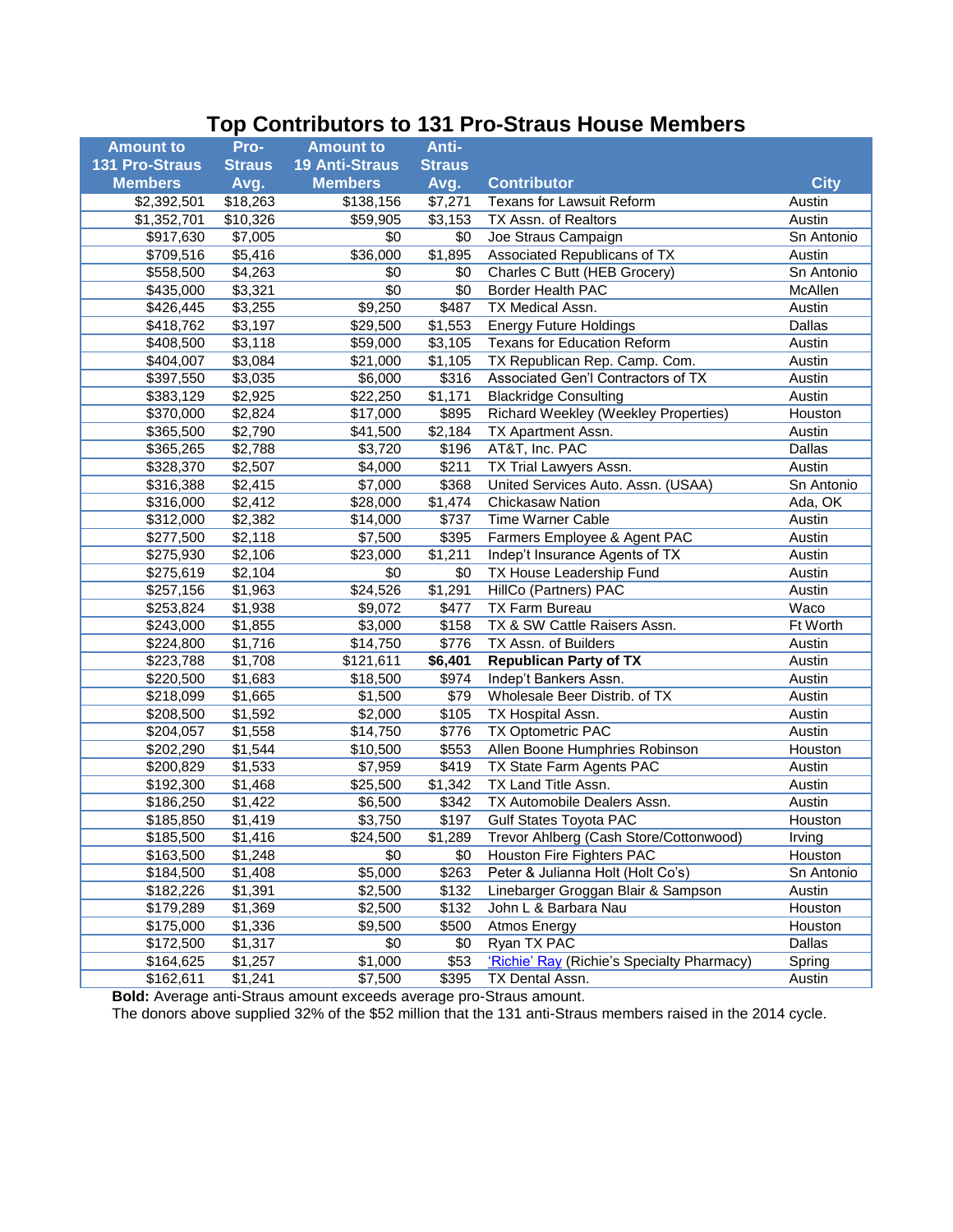## **Top Contributors to 131 Pro-Straus House Members**

| <b>Amount to</b>      | Pro-                | <b>Amount to</b>      | Anti-               |                                             |             |
|-----------------------|---------------------|-----------------------|---------------------|---------------------------------------------|-------------|
| <b>131 Pro-Straus</b> | <b>Straus</b>       | <b>19 Anti-Straus</b> | <b>Straus</b>       |                                             |             |
| <b>Members</b>        | Avg.                | <b>Members</b>        | Avg.                | <b>Contributor</b>                          | <b>City</b> |
| \$2,392,501           | \$18,263            | \$138,156             | \$7,271             | <b>Texans for Lawsuit Reform</b>            | Austin      |
| \$1,352,701           | \$10,326            | \$59,905              | \$3,153             | TX Assn. of Realtors                        | Austin      |
| \$917,630             | \$7,005             | \$0                   | \$0                 | Joe Straus Campaign                         | Sn Antonio  |
| \$709,516             | \$5,416             | \$36,000              | \$1,895             | Associated Republicans of TX                | Austin      |
| \$558,500             | \$4,263             | \$0                   | \$0                 | Charles C Butt (HEB Grocery)                | Sn Antonio  |
| \$435,000             | \$3,321             | \$0                   | \$0                 | Border Health PAC                           | McAllen     |
| \$426,445             | \$3,255             | \$9,250               | \$487               | TX Medical Assn.                            | Austin      |
| \$418,762             | \$3,197             | \$29,500              | \$1,553             | <b>Energy Future Holdings</b>               | Dallas      |
| \$408,500             | \$3,118             | \$59,000              | \$3,105             | Texans for Education Reform                 | Austin      |
| \$404,007             | \$3,084             | \$21,000              | \$1,105             | TX Republican Rep. Camp. Com.               | Austin      |
| \$397,550             | \$3,035             | \$6,000               | \$316               | Associated Gen'l Contractors of TX          | Austin      |
| \$383,129             | \$2,925             | \$22,250              | \$1,171             | <b>Blackridge Consulting</b>                | Austin      |
| \$370,000             | \$2,824             | \$17,000              | \$895               | <b>Richard Weekley (Weekley Properties)</b> | Houston     |
| \$365,500             | \$2,790             | \$41,500              | \$2,184             | TX Apartment Assn.                          | Austin      |
| \$365,265             | \$2,788             | \$3,720               | \$196               | AT&T, Inc. PAC                              | Dallas      |
| \$328,370             | \$2,507             | \$4,000               | \$211               | TX Trial Lawyers Assn.                      | Austin      |
| \$316,388             | $\overline{$}2,415$ | \$7,000               | \$368               | United Services Auto. Assn. (USAA)          | Sn Antonio  |
| \$316,000             | \$2,412             | \$28,000              | $\overline{$}1,474$ | <b>Chickasaw Nation</b>                     | Ada, OK     |
| \$312,000             | \$2,382             | \$14,000              | \$737               | Time Warner Cable                           | Austin      |
| \$277,500             | \$2,118             | \$7,500               | \$395               | Farmers Employee & Agent PAC                | Austin      |
| \$275,930             | \$2,106             | \$23,000              | \$1,211             | Indep't Insurance Agents of TX              | Austin      |
| \$275,619             | \$2,104             | \$0                   | \$0                 | TX House Leadership Fund                    | Austin      |
| \$257,156             | \$1,963             | \$24,526              | \$1,291             | HillCo (Partners) PAC                       | Austin      |
| \$253,824             | \$1,938             | \$9,072               | \$477               | TX Farm Bureau                              | Waco        |
| \$243,000             | $\overline{$}1,855$ | \$3,000               | \$158               | TX & SW Cattle Raisers Assn.                | Ft Worth    |
| \$224,800             | \$1,716             | \$14,750              | \$776               | TX Assn. of Builders                        | Austin      |
| \$223,788             | \$1,708             | \$121,611             | \$6,401             | <b>Republican Party of TX</b>               | Austin      |
| \$220,500             | \$1,683             | \$18,500              | \$974               | Indep't Bankers Assn.                       | Austin      |
| \$218,099             | \$1,665             | \$1,500               | \$79                | Wholesale Beer Distrib. of TX               | Austin      |
| \$208,500             | \$1,592             | \$2,000               | \$105               | TX Hospital Assn.                           | Austin      |
| \$204,057             | \$1,558             | \$14,750              | \$776               | <b>TX Optometric PAC</b>                    | Austin      |
| \$202,290             | \$1,544             | \$10,500              | \$553               | Allen Boone Humphries Robinson              | Houston     |
| \$200,829             | \$1,533             | \$7,959               | \$419               | TX State Farm Agents PAC                    | Austin      |
| \$192,300             | \$1,468             | \$25,500              | $\overline{$}1,342$ | TX Land Title Assn.                         | Austin      |
| \$186,250             | \$1,422             | \$6,500               | \$342               | TX Automobile Dealers Assn.                 | Austin      |
| \$185,850             | \$1,419             | \$3,750               | \$197               | <b>Gulf States Toyota PAC</b>               | Houston     |
| \$185,500             | \$1,416             | \$24,500              | \$1,289             | Trevor Ahlberg (Cash Store/Cottonwood)      | Irving      |
| \$163,500             | \$1,248             | \$0                   | \$0                 | Houston Fire Fighters PAC                   | Houston     |
| \$184,500             | \$1,408             | \$5,000               | \$263               | Peter & Julianna Holt (Holt Co's)           | Sn Antonio  |
| \$182,226             | \$1,391             | \$2,500               | \$132               | Linebarger Groggan Blair & Sampson          | Austin      |
| \$179,289             | \$1,369             | \$2,500               | \$132               | John L & Barbara Nau                        | Houston     |
| \$175,000             | \$1,336             | \$9,500               | \$500               | Atmos Energy                                | Houston     |
| \$172,500             | \$1,317             | \$0                   | \$0                 | Ryan TX PAC                                 | Dallas      |
| \$164,625             | \$1,257             | \$1,000               | \$53                | 'Richie' Ray (Richie's Specialty Pharmacy)  | Spring      |
| \$162,611             | \$1,241             | \$7,500               | \$395               | TX Dental Assn.                             | Austin      |

**Bold:** Average anti-Straus amount exceeds average pro-Straus amount.

The donors above supplied 32% of the \$52 million that the 131 anti-Straus members raised in the 2014 cycle.